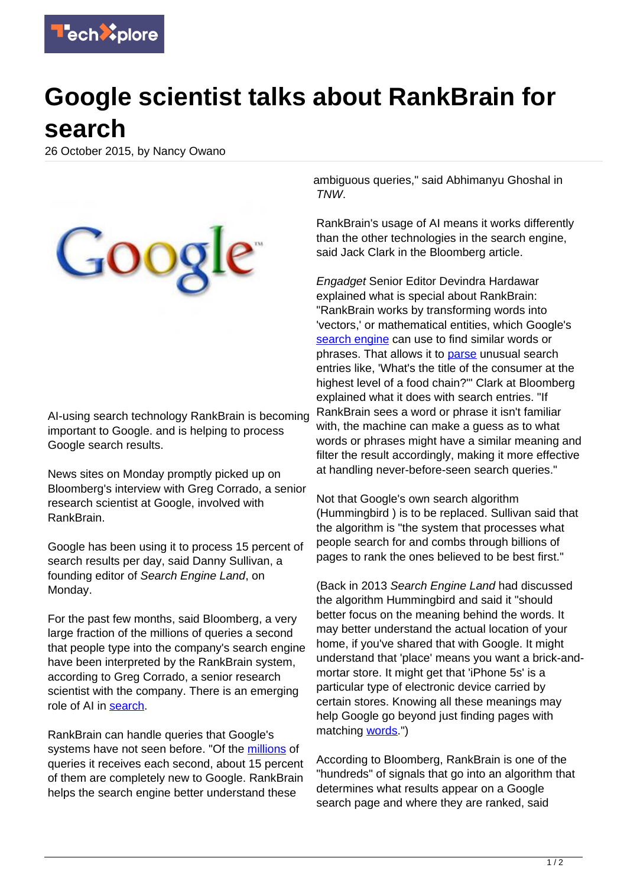

## **Google scientist talks about RankBrain for search**

26 October 2015, by Nancy Owano



AI-using search technology RankBrain is becoming important to Google. and is helping to process Google search results.

News sites on Monday promptly picked up on Bloomberg's interview with Greg Corrado, a senior research scientist at Google, involved with RankBrain.

Google has been using it to process 15 percent of search results per day, said Danny Sullivan, a founding editor of Search Engine Land, on Monday.

For the past few months, said Bloomberg, a very large fraction of the millions of queries a second that people type into the company's search engine have been interpreted by the RankBrain system, according to Greg Corrado, a senior research scientist with the company. There is an emerging role of AI in [search](http://www.bloomberg.com/news/articles/2015-10-26/google-turning-its-lucrative-web-search-over-to-ai-machines).

RankBrain can handle queries that Google's systems have not seen before. "Of the [millions](http://thenextweb.com/google/2015/10/26/how-google-handles-search-queries-its-never-seen-before/?) of queries it receives each second, about 15 percent of them are completely new to Google. RankBrain helps the search engine better understand these

ambiguous queries," said Abhimanyu Ghoshal in TNW.

RankBrain's usage of AI means it works differently than the other technologies in the search engine, said Jack Clark in the Bloomberg article.

Engadget Senior Editor Devindra Hardawar explained what is special about RankBrain: "RankBrain works by transforming words into 'vectors,' or mathematical entities, which Google's [search engine](https://techxplore.com/tags/search+engine/) can use to find similar words or phrases. That allows it to [parse](http://www.engadget.com/2015/10/26/google-rankbrain-search-ai/) unusual search entries like, 'What's the title of the consumer at the highest level of a food chain?'" Clark at Bloomberg explained what it does with search entries. "If RankBrain sees a word or phrase it isn't familiar with, the machine can make a guess as to what words or phrases might have a similar meaning and filter the result accordingly, making it more effective at handling never-before-seen search queries."

Not that Google's own search algorithm (Hummingbird ) is to be replaced. Sullivan said that the algorithm is "the system that processes what people search for and combs through billions of pages to rank the ones believed to be best first."

(Back in 2013 Search Engine Land had discussed the algorithm Hummingbird and said it "should better focus on the meaning behind the words. It may better understand the actual location of your home, if you've shared that with Google. It might understand that 'place' means you want a brick-andmortar store. It might get that 'iPhone 5s' is a particular type of electronic device carried by certain stores. Knowing all these meanings may help Google go beyond just finding pages with matching [words]( http://searchengineland.com/google-hummingbird-172816).")

According to Bloomberg, RankBrain is one of the "hundreds" of signals that go into an algorithm that determines what results appear on a Google search page and where they are ranked, said